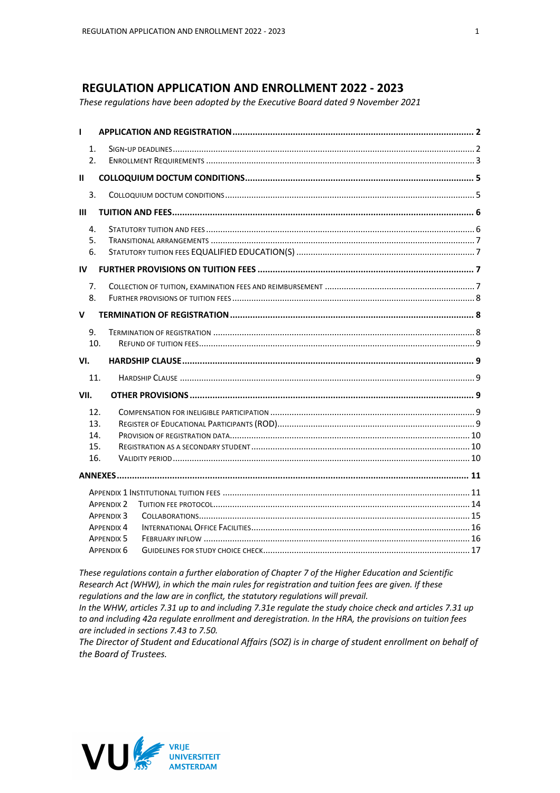# **REGULATION APPLICATION AND ENROLLMENT 2022 - 2023**

*These regulations have been adopted by the Executive Board dated 9 November 2021*

| т             |                                 |                                                                                                           |  |
|---------------|---------------------------------|-----------------------------------------------------------------------------------------------------------|--|
|               | 1 <sub>1</sub><br>2.            |                                                                                                           |  |
| $\mathbf{II}$ |                                 |                                                                                                           |  |
|               | 3.                              |                                                                                                           |  |
| Ш             |                                 |                                                                                                           |  |
|               | 4.<br>5.<br>6.                  |                                                                                                           |  |
| IV            |                                 |                                                                                                           |  |
|               | 7.<br>8.                        |                                                                                                           |  |
| $\mathbf v$   |                                 |                                                                                                           |  |
|               | 9.<br>10.                       |                                                                                                           |  |
| VI.           |                                 |                                                                                                           |  |
|               | 11.                             |                                                                                                           |  |
| VII.          |                                 |                                                                                                           |  |
|               | 12.<br>13.<br>14.<br>15.<br>16. |                                                                                                           |  |
|               |                                 |                                                                                                           |  |
|               |                                 | <b>APPENDIX 2</b><br><b>APPENDIX 3</b><br><b>APPENDIX 4</b><br><b>APPENDIX 5</b><br>APPENDIX <sub>6</sub> |  |

*These regulations contain a further elaboration of Chapter 7 of the Higher Education and Scientific Research Act (WHW), in which the main rules for registration and tuition fees are given. If these regulations and the law are in conflict, the statutory regulations will prevail.* 

*In the WHW, articles 7.31 up to and including 7.31e regulate the study choice check and articles 7.31 up to and including 42a regulate enrollment and deregistration. In the HRA, the provisions on tuition fees are included in sections 7.43 to 7.50.*

*The Director of Student and Educational Affairs (SOZ) is in charge of student enrollment on behalf of the Board of Trustees.*

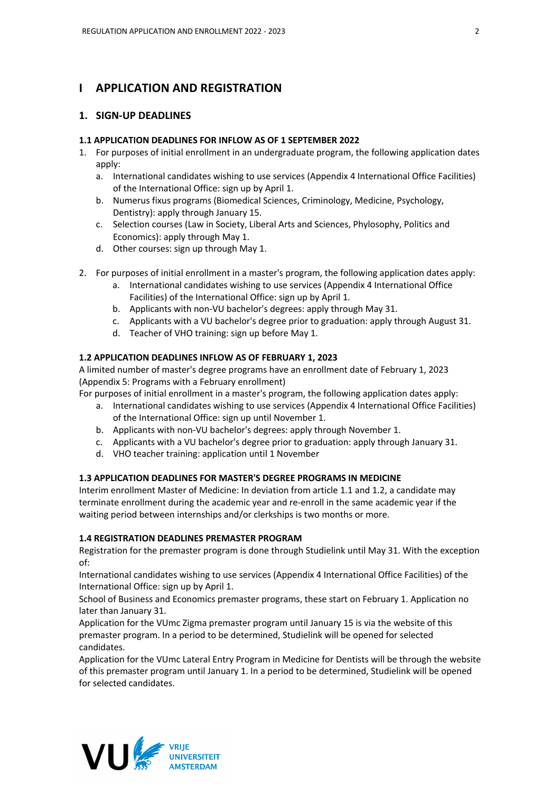# **I APPLICATION AND REGISTRATION**

#### **1. SIGN-UP DEADLINES**

#### **1.1 APPLICATION DEADLINES FOR INFLOW AS OF 1 SEPTEMBER 2022**

- 1. For purposes of initial enrollment in an undergraduate program, the following application dates apply:
	- a. International candidates wishing to use services (Appendix 4 International Office Facilities) of the International Office: sign up by April 1.
	- b. Numerus fixus programs (Biomedical Sciences, Criminology, Medicine, Psychology, Dentistry): apply through January 15.
	- c. Selection courses (Law in Society, Liberal Arts and Sciences, Phylosophy, Politics and Economics): apply through May 1.
	- d. Other courses: sign up through May 1.
- 2. For purposes of initial enrollment in a master's program, the following application dates apply:
	- a. International candidates wishing to use services (Appendix 4 International Office Facilities) of the International Office: sign up by April 1.
	- b. Applicants with non-VU bachelor's degrees: apply through May 31.
	- c. Applicants with a VU bachelor's degree prior to graduation: apply through August 31.
	- d. Teacher of VHO training: sign up before May 1.

## **1.2 APPLICATION DEADLINES INFLOW AS OF FEBRUARY 1, 2023**

A limited number of master's degree programs have an enrollment date of February 1, 2023 (Appendix 5: Programs with a February enrollment)

For purposes of initial enrollment in a master's program, the following application dates apply:

- a. International candidates wishing to use services (Appendix 4 International Office Facilities) of the International Office: sign up until November 1.
- b. Applicants with non-VU bachelor's degrees: apply through November 1.
- c. Applicants with a VU bachelor's degree prior to graduation: apply through January 31.
- d. VHO teacher training: application until 1 November

#### **1.3 APPLICATION DEADLINES FOR MASTER'S DEGREE PROGRAMS IN MEDICINE**

Interim enrollment Master of Medicine: In deviation from article 1.1 and 1.2, a candidate may terminate enrollment during the academic year and re-enroll in the same academic year if the waiting period between internships and/or clerkships is two months or more.

#### **1.4 REGISTRATION DEADLINES PREMASTER PROGRAM**

Registration for the premaster program is done through Studielink until May 31. With the exception of:

International candidates wishing to use services (Appendix 4 International Office Facilities) of the International Office: sign up by April 1.

School of Business and Economics premaster programs, these start on February 1. Application no later than January 31.

Application for the VUmc Zigma premaster program until January 15 is via the website of this premaster program. In a period to be determined, Studielink will be opened for selected candidates.

Application for the VUmc Lateral Entry Program in Medicine for Dentists will be through the website of this premaster program until January 1. In a period to be determined, Studielink will be opened for selected candidates.

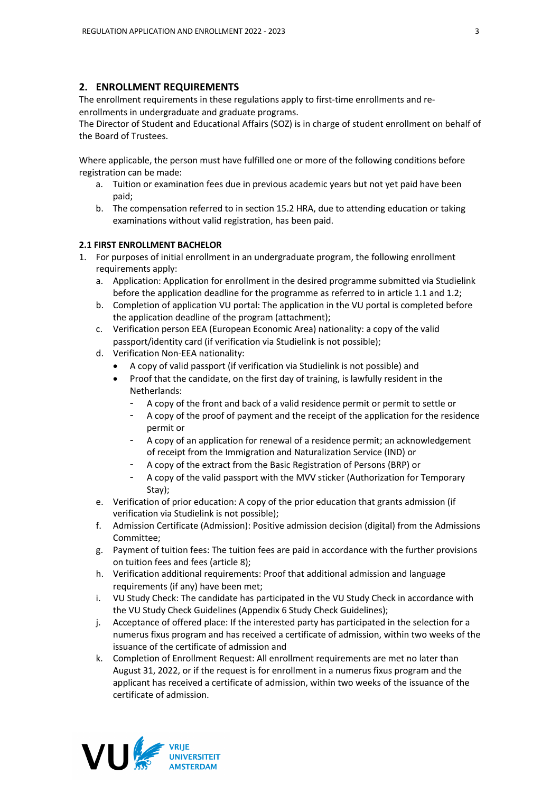### **2. ENROLLMENT REQUIREMENTS**

The enrollment requirements in these regulations apply to first-time enrollments and reenrollments in undergraduate and graduate programs.

The Director of Student and Educational Affairs (SOZ) is in charge of student enrollment on behalf of the Board of Trustees.

Where applicable, the person must have fulfilled one or more of the following conditions before registration can be made:

- a. Tuition or examination fees due in previous academic years but not yet paid have been paid;
- b. The compensation referred to in section 15.2 HRA, due to attending education or taking examinations without valid registration, has been paid.

#### **2.1 FIRST ENROLLMENT BACHELOR**

- 1. For purposes of initial enrollment in an undergraduate program, the following enrollment requirements apply:
	- a. Application: Application for enrollment in the desired programme submitted via Studielink before the application deadline for the programme as referred to in article 1.1 and 1.2;
	- b. Completion of application VU portal: The application in the VU portal is completed before the application deadline of the program (attachment);
	- c. Verification person EEA (European Economic Area) nationality: a copy of the valid passport/identity card (if verification via Studielink is not possible);
	- d. Verification Non-EEA nationality:
		- A copy of valid passport (if verification via Studielink is not possible) and
		- Proof that the candidate, on the first day of training, is lawfully resident in the Netherlands:
			- A copy of the front and back of a valid residence permit or permit to settle or
			- A copy of the proof of payment and the receipt of the application for the residence permit or
			- A copy of an application for renewal of a residence permit; an acknowledgement of receipt from the Immigration and Naturalization Service (IND) or
			- A copy of the extract from the Basic Registration of Persons (BRP) or
			- A copy of the valid passport with the MVV sticker (Authorization for Temporary Stay);
	- e. Verification of prior education: A copy of the prior education that grants admission (if verification via Studielink is not possible);
	- f. Admission Certificate (Admission): Positive admission decision (digital) from the Admissions Committee;
	- g. Payment of tuition fees: The tuition fees are paid in accordance with the further provisions on tuition fees and fees (article 8);
	- h. Verification additional requirements: Proof that additional admission and language requirements (if any) have been met;
	- i. VU Study Check: The candidate has participated in the VU Study Check in accordance with the VU Study Check Guidelines (Appendix 6 Study Check Guidelines);
	- j. Acceptance of offered place: If the interested party has participated in the selection for a numerus fixus program and has received a certificate of admission, within two weeks of the issuance of the certificate of admission and
	- k. Completion of Enrollment Request: All enrollment requirements are met no later than August 31, 2022, or if the request is for enrollment in a numerus fixus program and the applicant has received a certificate of admission, within two weeks of the issuance of the certificate of admission.

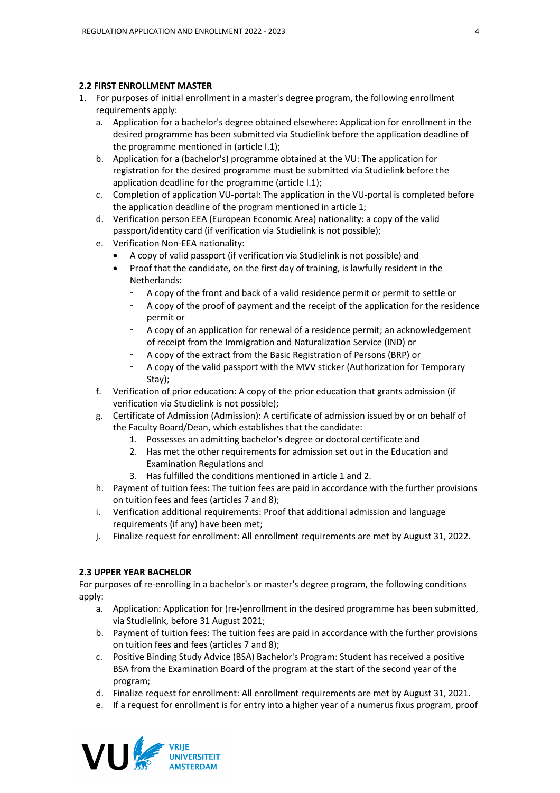#### **2.2 FIRST ENROLLMENT MASTER**

- 1. For purposes of initial enrollment in a master's degree program, the following enrollment requirements apply:
	- a. Application for a bachelor's degree obtained elsewhere: Application for enrollment in the desired programme has been submitted via Studielink before the application deadline of the programme mentioned in (article I.1);
	- b. Application for a (bachelor's) programme obtained at the VU: The application for registration for the desired programme must be submitted via Studielink before the application deadline for the programme (article I.1);
	- c. Completion of application VU-portal: The application in the VU-portal is completed before the application deadline of the program mentioned in article 1;
	- d. Verification person EEA (European Economic Area) nationality: a copy of the valid passport/identity card (if verification via Studielink is not possible);
	- e. Verification Non-EEA nationality:
		- A copy of valid passport (if verification via Studielink is not possible) and
		- Proof that the candidate, on the first day of training, is lawfully resident in the Netherlands:
			- A copy of the front and back of a valid residence permit or permit to settle or
			- A copy of the proof of payment and the receipt of the application for the residence permit or
			- A copy of an application for renewal of a residence permit; an acknowledgement of receipt from the Immigration and Naturalization Service (IND) or
			- A copy of the extract from the Basic Registration of Persons (BRP) or
			- A copy of the valid passport with the MVV sticker (Authorization for Temporary Stay);
	- f. Verification of prior education: A copy of the prior education that grants admission (if verification via Studielink is not possible);
	- g. Certificate of Admission (Admission): A certificate of admission issued by or on behalf of the Faculty Board/Dean, which establishes that the candidate:
		- 1. Possesses an admitting bachelor's degree or doctoral certificate and
		- 2. Has met the other requirements for admission set out in the Education and Examination Regulations and
		- 3. Has fulfilled the conditions mentioned in article 1 and 2.
	- h. Payment of tuition fees: The tuition fees are paid in accordance with the further provisions on tuition fees and fees (articles 7 and 8);
	- i. Verification additional requirements: Proof that additional admission and language requirements (if any) have been met;
	- j. Finalize request for enrollment: All enrollment requirements are met by August 31, 2022.

### **2.3 UPPER YEAR BACHELOR**

For purposes of re-enrolling in a bachelor's or master's degree program, the following conditions apply:

- a. Application: Application for (re-)enrollment in the desired programme has been submitted, via Studielink, before 31 August 2021;
- b. Payment of tuition fees: The tuition fees are paid in accordance with the further provisions on tuition fees and fees (articles 7 and 8);
- c. Positive Binding Study Advice (BSA) Bachelor's Program: Student has received a positive BSA from the Examination Board of the program at the start of the second year of the program;
- d. Finalize request for enrollment: All enrollment requirements are met by August 31, 2021.
- e. If a request for enrollment is for entry into a higher year of a numerus fixus program, proof

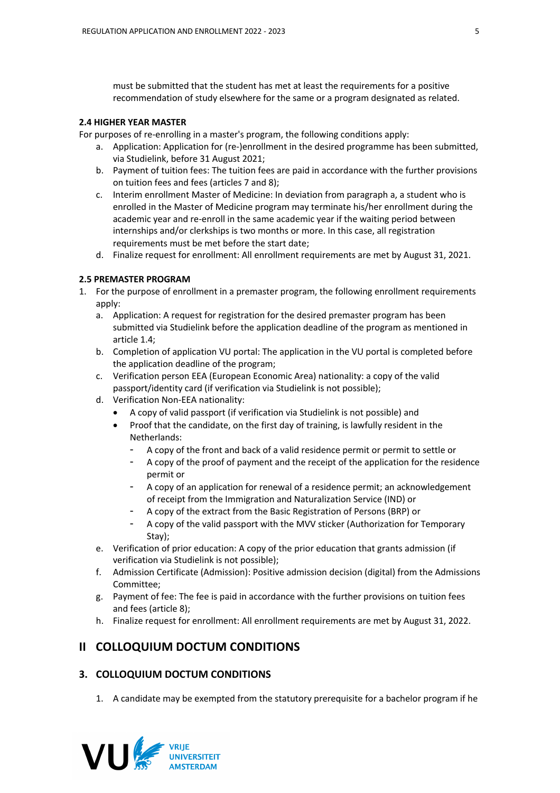must be submitted that the student has met at least the requirements for a positive recommendation of study elsewhere for the same or a program designated as related.

#### **2.4 HIGHER YEAR MASTER**

For purposes of re-enrolling in a master's program, the following conditions apply:

- a. Application: Application for (re-)enrollment in the desired programme has been submitted, via Studielink, before 31 August 2021;
- b. Payment of tuition fees: The tuition fees are paid in accordance with the further provisions on tuition fees and fees (articles 7 and 8);
- c. Interim enrollment Master of Medicine: In deviation from paragraph a, a student who is enrolled in the Master of Medicine program may terminate his/her enrollment during the academic year and re-enroll in the same academic year if the waiting period between internships and/or clerkships is two months or more. In this case, all registration requirements must be met before the start date;
- d. Finalize request for enrollment: All enrollment requirements are met by August 31, 2021.

#### **2.5 PREMASTER PROGRAM**

- 1. For the purpose of enrollment in a premaster program, the following enrollment requirements apply:
	- a. Application: A request for registration for the desired premaster program has been submitted via Studielink before the application deadline of the program as mentioned in article 1.4;
	- b. Completion of application VU portal: The application in the VU portal is completed before the application deadline of the program;
	- c. Verification person EEA (European Economic Area) nationality: a copy of the valid passport/identity card (if verification via Studielink is not possible);
	- d. Verification Non-EEA nationality:
		- A copy of valid passport (if verification via Studielink is not possible) and
		- Proof that the candidate, on the first day of training, is lawfully resident in the Netherlands:
			- A copy of the front and back of a valid residence permit or permit to settle or
			- A copy of the proof of payment and the receipt of the application for the residence permit or
			- A copy of an application for renewal of a residence permit; an acknowledgement of receipt from the Immigration and Naturalization Service (IND) or
			- A copy of the extract from the Basic Registration of Persons (BRP) or
			- A copy of the valid passport with the MVV sticker (Authorization for Temporary Stay);
	- e. Verification of prior education: A copy of the prior education that grants admission (if verification via Studielink is not possible);
	- f. Admission Certificate (Admission): Positive admission decision (digital) from the Admissions Committee;
	- g. Payment of fee: The fee is paid in accordance with the further provisions on tuition fees and fees (article 8);
	- h. Finalize request for enrollment: All enrollment requirements are met by August 31, 2022.

# **II COLLOQUIUM DOCTUM CONDITIONS**

### **3. COLLOQUIUM DOCTUM CONDITIONS**

1. A candidate may be exempted from the statutory prerequisite for a bachelor program if he

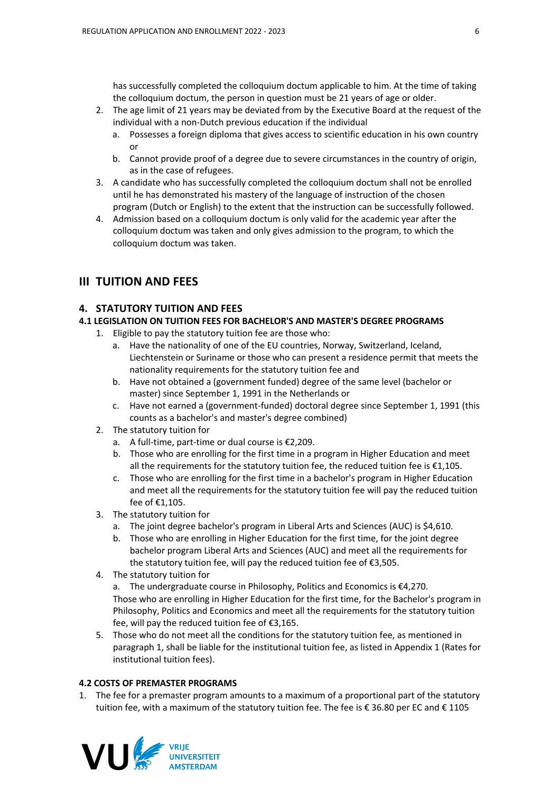has successfully completed the colloquium doctum applicable to him. At the time of taking the colloquium doctum, the person in question must be 21 years of age or older.

- 2. The age limit of 21 years may be deviated from by the Executive Board at the request of the individual with a non-Dutch previous education if the individual
	- a. Possesses a foreign diploma that gives access to scientific education in his own country or
	- b. Cannot provide proof of a degree due to severe circumstances in the country of origin, as in the case of refugees.
- 3. A candidate who has successfully completed the colloquium doctum shall not be enrolled until he has demonstrated his mastery of the language of instruction of the chosen program (Dutch or English) to the extent that the instruction can be successfully followed.
- 4. Admission based on a colloquium doctum is only valid for the academic year after the colloquium doctum was taken and only gives admission to the program, to which the colloquium doctum was taken.

# **III TUITION AND FEES**

### **4. STATUTORY TUITION AND FEES**

#### **4.1 LEGISLATION ON TUITION FEES FOR BACHELOR'S AND MASTER'S DEGREE PROGRAMS**

- 1. Eligible to pay the statutory tuition fee are those who:
	- a. Have the nationality of one of the EU countries, Norway, Switzerland, Iceland, Liechtenstein or Suriname or those who can present a residence permit that meets the nationality requirements for the statutory tuition fee and
	- b. Have not obtained a (government funded) degree of the same level (bachelor or master) since September 1, 1991 in the Netherlands or
	- c. Have not earned a (government-funded) doctoral degree since September 1, 1991 (this counts as a bachelor's and master's degree combined)
- 2. The statutory tuition for
	- a. A full-time, part-time or dual course is €2,209.
	- b. Those who are enrolling for the first time in a program in Higher Education and meet all the requirements for the statutory tuition fee, the reduced tuition fee is  $£1,105.$
	- c. Those who are enrolling for the first time in a bachelor's program in Higher Education and meet all the requirements for the statutory tuition fee will pay the reduced tuition fee of €1,105.
- 3. The statutory tuition for
	- a. The joint degree bachelor's program in Liberal Arts and Sciences (AUC) is \$4,610.
	- b. Those who are enrolling in Higher Education for the first time, for the joint degree bachelor program Liberal Arts and Sciences (AUC) and meet all the requirements for the statutory tuition fee, will pay the reduced tuition fee of €3,505.
- 4. The statutory tuition for
	- a. The undergraduate course in Philosophy, Politics and Economics is €4,270. Those who are enrolling in Higher Education for the first time, for the Bachelor's program in Philosophy, Politics and Economics and meet all the requirements for the statutory tuition fee, will pay the reduced tuition fee of €3,165.
- 5. Those who do not meet all the conditions for the statutory tuition fee, as mentioned in paragraph 1, shall be liable for the institutional tuition fee, as listed in Appendix 1 (Rates for institutional tuition fees).

#### **4.2 COSTS OF PREMASTER PROGRAMS**

1. The fee for a premaster program amounts to a maximum of a proportional part of the statutory tuition fee, with a maximum of the statutory tuition fee. The fee is € 36.80 per EC and € 1105

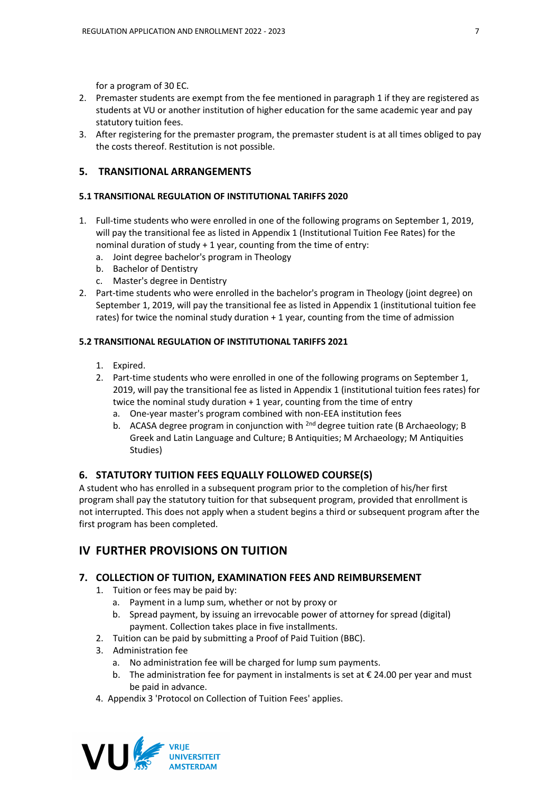for a program of 30 EC.

- 2. Premaster students are exempt from the fee mentioned in paragraph 1 if they are registered as students at VU or another institution of higher education for the same academic year and pay statutory tuition fees.
- 3. After registering for the premaster program, the premaster student is at all times obliged to pay the costs thereof. Restitution is not possible.

## **5. TRANSITIONAL ARRANGEMENTS**

### **5.1 TRANSITIONAL REGULATION OF INSTITUTIONAL TARIFFS 2020**

- 1. Full-time students who were enrolled in one of the following programs on September 1, 2019, will pay the transitional fee as listed in Appendix 1 (Institutional Tuition Fee Rates) for the nominal duration of study + 1 year, counting from the time of entry:
	- a. Joint degree bachelor's program in Theology
	- b. Bachelor of Dentistry
	- c. Master's degree in Dentistry
- 2. Part-time students who were enrolled in the bachelor's program in Theology (joint degree) on September 1, 2019, will pay the transitional fee as listed in Appendix 1 (institutional tuition fee rates) for twice the nominal study duration + 1 year, counting from the time of admission

## **5.2 TRANSITIONAL REGULATION OF INSTITUTIONAL TARIFFS 2021**

- 1. Expired.
- 2. Part-time students who were enrolled in one of the following programs on September 1, 2019, will pay the transitional fee as listed in Appendix 1 (institutional tuition fees rates) for twice the nominal study duration + 1 year, counting from the time of entry
	- a. One-year master's program combined with non-EEA institution fees
	- b. ACASA degree program in conjunction with  $^{2nd}$  degree tuition rate (B Archaeology; B Greek and Latin Language and Culture; B Antiquities; M Archaeology; M Antiquities Studies)

## **6. STATUTORY TUITION FEES EQUALLY FOLLOWED COURSE(S)**

A student who has enrolled in a subsequent program prior to the completion of his/her first program shall pay the statutory tuition for that subsequent program, provided that enrollment is not interrupted. This does not apply when a student begins a third or subsequent program after the first program has been completed.

# **IV FURTHER PROVISIONS ON TUITION**

## **7. COLLECTION OF TUITION, EXAMINATION FEES AND REIMBURSEMENT**

- 1. Tuition or fees may be paid by:
	- a. Payment in a lump sum, whether or not by proxy or
	- b. Spread payment, by issuing an irrevocable power of attorney for spread (digital) payment. Collection takes place in five installments.
- 2. Tuition can be paid by submitting a Proof of Paid Tuition (BBC).
- 3. Administration fee
	- a. No administration fee will be charged for lump sum payments.
	- b. The administration fee for payment in instalments is set at  $\epsilon$  24.00 per year and must be paid in advance.
- 4. Appendix 3 'Protocol on Collection of Tuition Fees' applies.

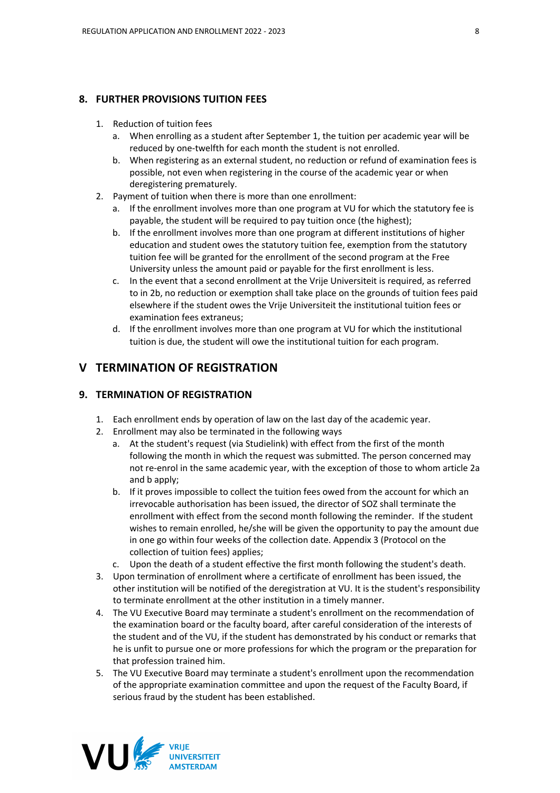#### **8. FURTHER PROVISIONS TUITION FEES**

- 1. Reduction of tuition fees
	- a. When enrolling as a student after September 1, the tuition per academic year will be reduced by one-twelfth for each month the student is not enrolled.
	- b. When registering as an external student, no reduction or refund of examination fees is possible, not even when registering in the course of the academic year or when deregistering prematurely.
- 2. Payment of tuition when there is more than one enrollment:
	- a. If the enrollment involves more than one program at VU for which the statutory fee is payable, the student will be required to pay tuition once (the highest);
	- b. If the enrollment involves more than one program at different institutions of higher education and student owes the statutory tuition fee, exemption from the statutory tuition fee will be granted for the enrollment of the second program at the Free University unless the amount paid or payable for the first enrollment is less.
	- c. In the event that a second enrollment at the Vrije Universiteit is required, as referred to in 2b, no reduction or exemption shall take place on the grounds of tuition fees paid elsewhere if the student owes the Vrije Universiteit the institutional tuition fees or examination fees extraneus;
	- d. If the enrollment involves more than one program at VU for which the institutional tuition is due, the student will owe the institutional tuition for each program.

# **V TERMINATION OF REGISTRATION**

## **9. TERMINATION OF REGISTRATION**

- 1. Each enrollment ends by operation of law on the last day of the academic year.
- 2. Enrollment may also be terminated in the following ways
	- a. At the student's request (via Studielink) with effect from the first of the month following the month in which the request was submitted. The person concerned may not re-enrol in the same academic year, with the exception of those to whom article 2a and b apply;
	- b. If it proves impossible to collect the tuition fees owed from the account for which an irrevocable authorisation has been issued, the director of SOZ shall terminate the enrollment with effect from the second month following the reminder. If the student wishes to remain enrolled, he/she will be given the opportunity to pay the amount due in one go within four weeks of the collection date. Appendix 3 (Protocol on the collection of tuition fees) applies;
	- c. Upon the death of a student effective the first month following the student's death.
- 3. Upon termination of enrollment where a certificate of enrollment has been issued, the other institution will be notified of the deregistration at VU. It is the student's responsibility to terminate enrollment at the other institution in a timely manner.
- 4. The VU Executive Board may terminate a student's enrollment on the recommendation of the examination board or the faculty board, after careful consideration of the interests of the student and of the VU, if the student has demonstrated by his conduct or remarks that he is unfit to pursue one or more professions for which the program or the preparation for that profession trained him.
- 5. The VU Executive Board may terminate a student's enrollment upon the recommendation of the appropriate examination committee and upon the request of the Faculty Board, if serious fraud by the student has been established.

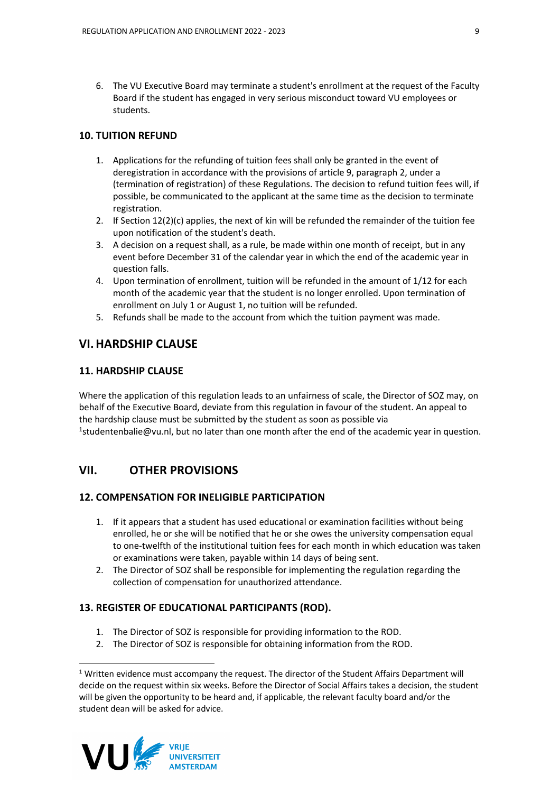6. The VU Executive Board may terminate a student's enrollment at the request of the Faculty Board if the student has engaged in very serious misconduct toward VU employees or students.

## **10. TUITION REFUND**

- 1. Applications for the refunding of tuition fees shall only be granted in the event of deregistration in accordance with the provisions of article 9, paragraph 2, under a (termination of registration) of these Regulations. The decision to refund tuition fees will, if possible, be communicated to the applicant at the same time as the decision to terminate registration.
- 2. If Section 12(2)(c) applies, the next of kin will be refunded the remainder of the tuition fee upon notification of the student's death.
- 3. A decision on a request shall, as a rule, be made within one month of receipt, but in any event before December 31 of the calendar year in which the end of the academic year in question falls.
- 4. Upon termination of enrollment, tuition will be refunded in the amount of 1/12 for each month of the academic year that the student is no longer enrolled. Upon termination of enrollment on July 1 or August 1, no tuition will be refunded.
- 5. Refunds shall be made to the account from which the tuition payment was made.

# **VI.HARDSHIP CLAUSE**

### **11. HARDSHIP CLAUSE**

Where the application of this regulation leads to an unfairness of scale, the Director of SOZ may, on behalf of the Executive Board, deviate from this regulation in favour of the student. An appeal to the hardship clause must be submitted by the student as soon as possible via<br><sup>1</sup>studentenbalie@vu.nl, but no later than one month after the end of the academic year in question.

# **VII. OTHER PROVISIONS**

### **12. COMPENSATION FOR INELIGIBLE PARTICIPATION**

- 1. If it appears that a student has used educational or examination facilities without being enrolled, he or she will be notified that he or she owes the university compensation equal to one-twelfth of the institutional tuition fees for each month in which education was taken or examinations were taken, payable within 14 days of being sent.
- 2. The Director of SOZ shall be responsible for implementing the regulation regarding the collection of compensation for unauthorized attendance.

### **13. REGISTER OF EDUCATIONAL PARTICIPANTS (ROD).**

- 1. The Director of SOZ is responsible for providing information to the ROD.
- 2. The Director of SOZ is responsible for obtaining information from the ROD.

 $1$  Written evidence must accompany the request. The director of the Student Affairs Department will decide on the request within six weeks. Before the Director of Social Affairs takes a decision, the student will be given the opportunity to be heard and, if applicable, the relevant faculty board and/or the student dean will be asked for advice.

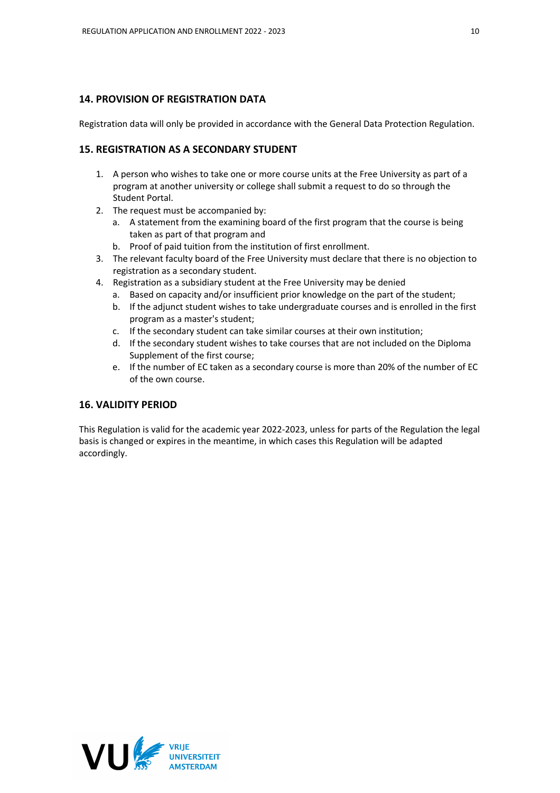## **14. PROVISION OF REGISTRATION DATA**

Registration data will only be provided in accordance with the General Data Protection Regulation.

## **15. REGISTRATION AS A SECONDARY STUDENT**

- 1. A person who wishes to take one or more course units at the Free University as part of a program at another university or college shall submit a request to do so through the Student Portal.
- 2. The request must be accompanied by:
	- a. A statement from the examining board of the first program that the course is being taken as part of that program and
	- b. Proof of paid tuition from the institution of first enrollment.
- 3. The relevant faculty board of the Free University must declare that there is no objection to registration as a secondary student.
- 4. Registration as a subsidiary student at the Free University may be denied
	- a. Based on capacity and/or insufficient prior knowledge on the part of the student;
	- b. If the adjunct student wishes to take undergraduate courses and is enrolled in the first program as a master's student;
	- c. If the secondary student can take similar courses at their own institution;
	- d. If the secondary student wishes to take courses that are not included on the Diploma Supplement of the first course;
	- e. If the number of EC taken as a secondary course is more than 20% of the number of EC of the own course.

## **16. VALIDITY PERIOD**

This Regulation is valid for the academic year 2022-2023, unless for parts of the Regulation the legal basis is changed or expires in the meantime, in which cases this Regulation will be adapted accordingly.

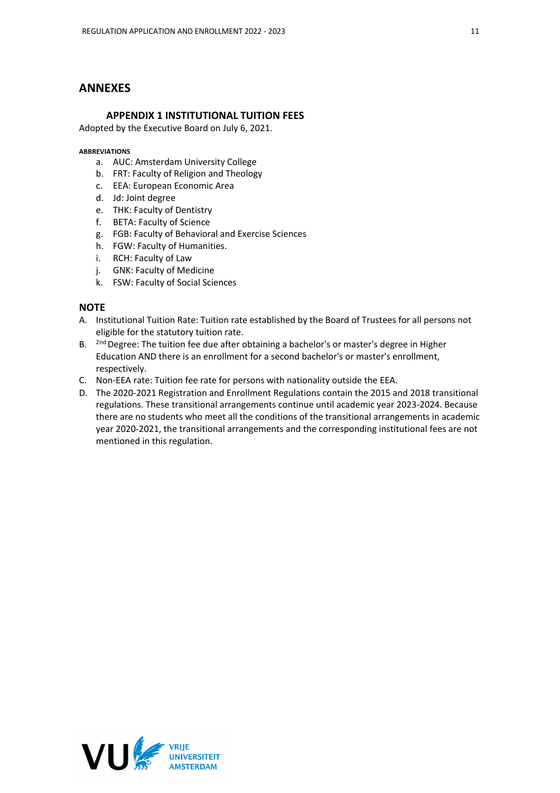# **ANNEXES**

## **APPENDIX 1 INSTITUTIONAL TUITION FEES**

Adopted by the Executive Board on July 6, 2021.

#### **ABBREVIATIONS**

- a. AUC: Amsterdam University College
- b. FRT: Faculty of Religion and Theology
- c. EEA: European Economic Area
- d. Jd: Joint degree
- e. THK: Faculty of Dentistry
- f. BETA: Faculty of Science
- g. FGB: Faculty of Behavioral and Exercise Sciences
- h. FGW: Faculty of Humanities.
- i. RCH: Faculty of Law
- j. GNK: Faculty of Medicine
- k. FSW: Faculty of Social Sciences

### **NOTE**

- A. Institutional Tuition Rate: Tuition rate established by the Board of Trustees for all persons not eligible for the statutory tuition rate.
- B. <sup>2nd</sup> Degree: The tuition fee due after obtaining a bachelor's or master's degree in Higher Education AND there is an enrollment for a second bachelor's or master's enrollment, respectively.
- C. Non-EEA rate: Tuition fee rate for persons with nationality outside the EEA.
- D. The 2020-2021 Registration and Enrollment Regulations contain the 2015 and 2018 transitional regulations. These transitional arrangements continue until academic year 2023-2024. Because there are no students who meet all the conditions of the transitional arrangements in academic year 2020-2021, the transitional arrangements and the corresponding institutional fees are not mentioned in this regulation.

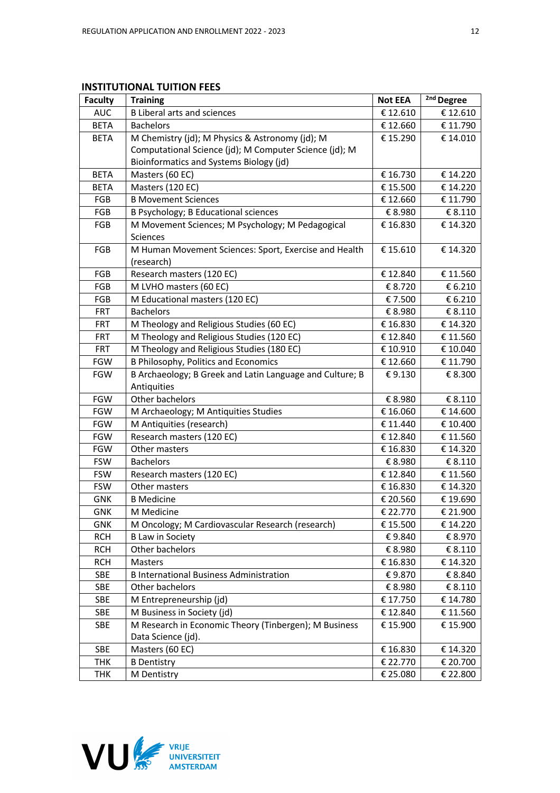| <b>AUC</b>  | <b>B</b> Liberal arts and sciences                       | € 12.610 | € 12.610 |
|-------------|----------------------------------------------------------|----------|----------|
| <b>BETA</b> | <b>Bachelors</b>                                         | € 12.660 | € 11.790 |
| <b>BETA</b> | M Chemistry (jd); M Physics & Astronomy (jd); M          | € 15.290 | € 14.010 |
|             | Computational Science (jd); M Computer Science (jd); M   |          |          |
|             | Bioinformatics and Systems Biology (jd)                  |          |          |
| <b>BETA</b> | Masters (60 EC)                                          | € 16.730 | € 14.220 |
| <b>BETA</b> | Masters (120 EC)                                         | € 15.500 | € 14.220 |
| <b>FGB</b>  | <b>B Movement Sciences</b>                               | € 12.660 | € 11.790 |
| FGB         | B Psychology; B Educational sciences                     | € 8.980  | € 8.110  |
| FGB         | M Movement Sciences; M Psychology; M Pedagogical         | € 16.830 | € 14.320 |
|             | Sciences                                                 |          |          |
| FGB         | M Human Movement Sciences: Sport, Exercise and Health    | € 15.610 | € 14.320 |
|             | (research)                                               |          |          |
| FGB         | Research masters (120 EC)                                | € 12.840 | € 11.560 |
| FGB         | M LVHO masters (60 EC)                                   | € 8.720  | € 6.210  |
| <b>FGB</b>  | M Educational masters (120 EC)                           | €7.500   | € 6.210  |
| <b>FRT</b>  | <b>Bachelors</b>                                         | € 8.980  | € 8.110  |
| <b>FRT</b>  | M Theology and Religious Studies (60 EC)                 | € 16.830 | € 14.320 |
| <b>FRT</b>  | M Theology and Religious Studies (120 EC)                | € 12.840 | € 11.560 |
| <b>FRT</b>  | M Theology and Religious Studies (180 EC)                | € 10.910 | € 10.040 |
| FGW         | B Philosophy, Politics and Economics                     | € 12.660 | € 11.790 |
| <b>FGW</b>  | B Archaeology; B Greek and Latin Language and Culture; B | €9.130   | € 8.300  |
|             | Antiquities                                              |          |          |
| FGW         | Other bachelors                                          | € 8.980  | € 8.110  |
| FGW         | M Archaeology; M Antiquities Studies                     | € 16.060 | € 14.600 |
| FGW         | M Antiquities (research)                                 | € 11.440 | € 10.400 |
| <b>FGW</b>  | Research masters (120 EC)                                | € 12.840 | € 11.560 |
| FGW         | Other masters                                            | € 16.830 | € 14.320 |
| <b>FSW</b>  | <b>Bachelors</b>                                         | € 8.980  | € 8.110  |
| <b>FSW</b>  | Research masters (120 EC)                                | € 12.840 | € 11.560 |
| <b>FSW</b>  | Other masters                                            | € 16.830 | € 14.320 |
| <b>GNK</b>  | <b>B</b> Medicine                                        | € 20.560 | € 19.690 |
| <b>GNK</b>  | M Medicine                                               | € 22.770 | € 21.900 |
| <b>GNK</b>  | M Oncology; M Cardiovascular Research (research)         | € 15.500 | € 14.220 |
| <b>RCH</b>  | <b>B Law in Society</b>                                  | €9.840   | € 8.970  |
| <b>RCH</b>  | Other bachelors                                          | € 8.980  | € 8.110  |
| <b>RCH</b>  | Masters                                                  | € 16.830 | € 14.320 |
| <b>SBE</b>  | <b>B International Business Administration</b>           | €9.870   | € 8.840  |
| SBE         | Other bachelors                                          | € 8.980  | € 8.110  |
| SBE         | M Entrepreneurship (jd)                                  | € 17.750 | € 14.780 |
| SBE         | M Business in Society (jd)                               | € 12.840 | € 11.560 |
| SBE         | M Research in Economic Theory (Tinbergen); M Business    | € 15.900 | € 15.900 |
|             | Data Science (jd).                                       |          |          |
| SBE         | Masters (60 EC)                                          | € 16.830 | € 14.320 |

THK  $\begin{array}{|c|c|c|c|c|}\n\hline\n\text{B} \text{Dentistry} & \begin{array}{|c|c|c|}\n\hline\n\text{E} \text{22.770} & \begin{array}{|c|c|}\n\hline\n\text{E} \text{20.700}\n\hline\n\end{array}\n\end{array}$ THK  $M$  Dentistry  $\left| \begin{array}{ccc} \epsilon & \epsilon & \epsilon \end{array} \right|$   $\epsilon$  25.080  $\epsilon$  22.800

# **INSTITUTIONAL TUITION FEES Faculty** Training **Not EEA**  $^{2nd}$  Degree

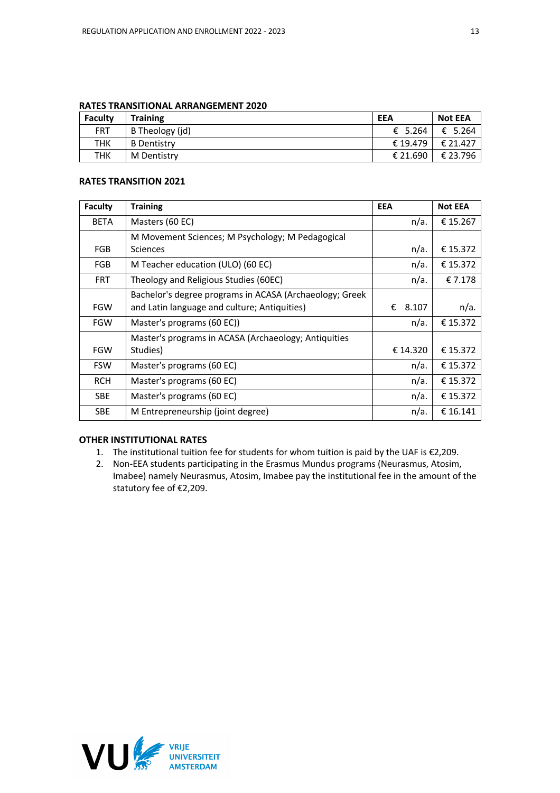#### **RATES TRANSITIONAL ARRANGEMENT 2020**

| <b>Faculty</b> | <b>Training</b>    | EEA      | <b>Not EEA</b> |
|----------------|--------------------|----------|----------------|
| <b>FRT</b>     | B Theology (jd)    | € 5.264  | € 5.264        |
| тнк            | <b>B</b> Dentistry | € 19.479 | € 21.427       |
| тнк            | M Dentistry        | € 21.690 | € 23.796       |

#### **RATES TRANSITION 2021**

| <b>Faculty</b> | <b>Training</b>                                         | <b>EEA</b> | <b>Not EEA</b> |
|----------------|---------------------------------------------------------|------------|----------------|
| <b>BETA</b>    | Masters (60 EC)                                         | n/a.       | € 15.267       |
|                | M Movement Sciences; M Psychology; M Pedagogical        |            |                |
| <b>FGB</b>     | <b>Sciences</b>                                         | $n/a$ .    | € 15.372       |
| <b>FGB</b>     | M Teacher education (ULO) (60 EC)                       | $n/a$ .    | € 15.372       |
| <b>FRT</b>     | Theology and Religious Studies (60EC)                   | $n/a$ .    | € 7.178        |
|                | Bachelor's degree programs in ACASA (Archaeology; Greek |            |                |
| <b>FGW</b>     | and Latin language and culture; Antiquities)            | 8.107<br>€ | $n/a$ .        |
| <b>FGW</b>     | Master's programs (60 EC))                              | n/a.       | € 15.372       |
|                | Master's programs in ACASA (Archaeology; Antiquities    |            |                |
| <b>FGW</b>     | Studies)                                                | € 14.320   | € 15.372       |
| <b>FSW</b>     | Master's programs (60 EC)                               | $n/a$ .    | € 15.372       |
| <b>RCH</b>     | Master's programs (60 EC)                               | $n/a$ .    | € 15.372       |
| <b>SBE</b>     | Master's programs (60 EC)                               | $n/a$ .    | € 15.372       |
| <b>SBE</b>     | M Entrepreneurship (joint degree)                       | $n/a$ .    | € 16.141       |

### **OTHER INSTITUTIONAL RATES**

- 1. The institutional tuition fee for students for whom tuition is paid by the UAF is €2,209.
- 2. Non-EEA students participating in the Erasmus Mundus programs (Neurasmus, Atosim, Imabee) namely Neurasmus, Atosim, Imabee pay the institutional fee in the amount of the statutory fee of €2,209.

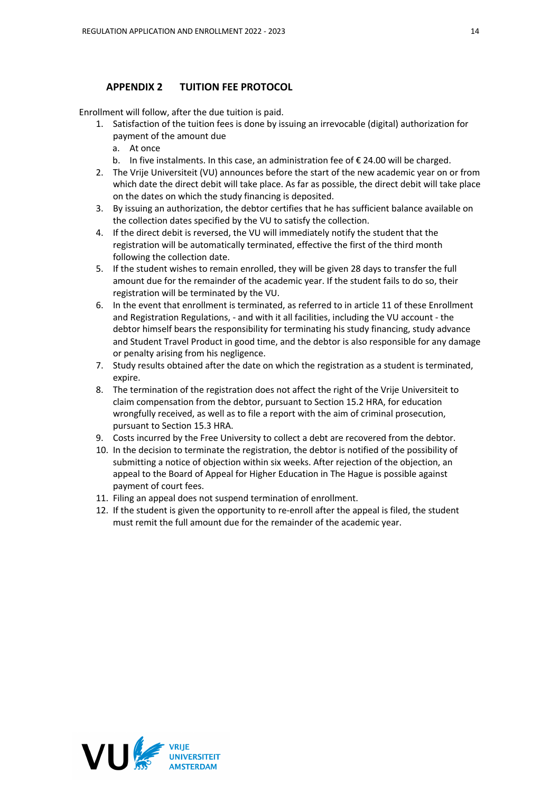### **APPENDIX 2 TUITION FEE PROTOCOL**

Enrollment will follow, after the due tuition is paid.

- 1. Satisfaction of the tuition fees is done by issuing an irrevocable (digital) authorization for payment of the amount due
	- a. At once
	- b. In five instalments. In this case, an administration fee of € 24.00 will be charged.
- 2. The Vrije Universiteit (VU) announces before the start of the new academic year on or from which date the direct debit will take place. As far as possible, the direct debit will take place on the dates on which the study financing is deposited.
- 3. By issuing an authorization, the debtor certifies that he has sufficient balance available on the collection dates specified by the VU to satisfy the collection.
- 4. If the direct debit is reversed, the VU will immediately notify the student that the registration will be automatically terminated, effective the first of the third month following the collection date.
- 5. If the student wishes to remain enrolled, they will be given 28 days to transfer the full amount due for the remainder of the academic year. If the student fails to do so, their registration will be terminated by the VU.
- 6. In the event that enrollment is terminated, as referred to in article 11 of these Enrollment and Registration Regulations, - and with it all facilities, including the VU account - the debtor himself bears the responsibility for terminating his study financing, study advance and Student Travel Product in good time, and the debtor is also responsible for any damage or penalty arising from his negligence.
- 7. Study results obtained after the date on which the registration as a student is terminated, expire.
- 8. The termination of the registration does not affect the right of the Vrije Universiteit to claim compensation from the debtor, pursuant to Section 15.2 HRA, for education wrongfully received, as well as to file a report with the aim of criminal prosecution, pursuant to Section 15.3 HRA.
- 9. Costs incurred by the Free University to collect a debt are recovered from the debtor.
- 10. In the decision to terminate the registration, the debtor is notified of the possibility of submitting a notice of objection within six weeks. After rejection of the objection, an appeal to the Board of Appeal for Higher Education in The Hague is possible against payment of court fees.
- 11. Filing an appeal does not suspend termination of enrollment.
- 12. If the student is given the opportunity to re-enroll after the appeal is filed, the student must remit the full amount due for the remainder of the academic year.

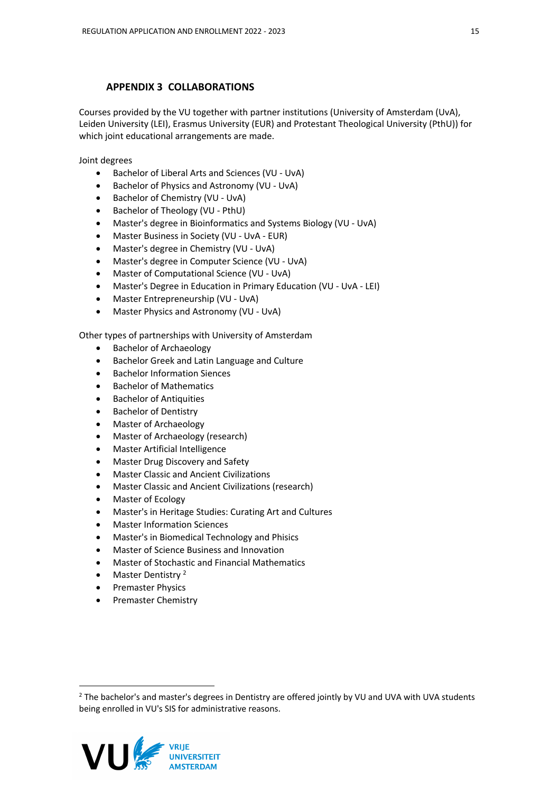## **APPENDIX 3 COLLABORATIONS**

Courses provided by the VU together with partner institutions (University of Amsterdam (UvA), Leiden University (LEI), Erasmus University (EUR) and Protestant Theological University (PthU)) for which joint educational arrangements are made.

Joint degrees

- Bachelor of Liberal Arts and Sciences (VU UvA)
- Bachelor of Physics and Astronomy (VU UvA)
- Bachelor of Chemistry (VU UvA)
- Bachelor of Theology (VU PthU)
- Master's degree in Bioinformatics and Systems Biology (VU UvA)
- Master Business in Society (VU UvA EUR)
- Master's degree in Chemistry (VU UvA)
- Master's degree in Computer Science (VU UvA)
- Master of Computational Science (VU UvA)
- Master's Degree in Education in Primary Education (VU UvA LEI)
- Master Entrepreneurship (VU UvA)
- Master Physics and Astronomy (VU UvA)

Other types of partnerships with University of Amsterdam

- Bachelor of Archaeology
- Bachelor Greek and Latin Language and Culture
- Bachelor Information Siences
- Bachelor of Mathematics
- Bachelor of Antiquities
- Bachelor of Dentistry
- Master of Archaeology
- Master of Archaeology (research)
- Master Artificial Intelligence
- Master Drug Discovery and Safety
- Master Classic and Ancient Civilizations
- Master Classic and Ancient Civilizations (research)
- Master of Ecology
- Master's in Heritage Studies: Curating Art and Cultures
- Master Information Sciences
- Master's in Biomedical Technology and Phisics
- Master of Science Business and Innovation
- Master of Stochastic and Financial Mathematics
- Master Dentistry<sup>2</sup>
- Premaster Physics
- Premaster Chemistry

<sup>&</sup>lt;sup>2</sup> The bachelor's and master's degrees in Dentistry are offered jointly by VU and UVA with UVA students being enrolled in VU's SIS for administrative reasons.

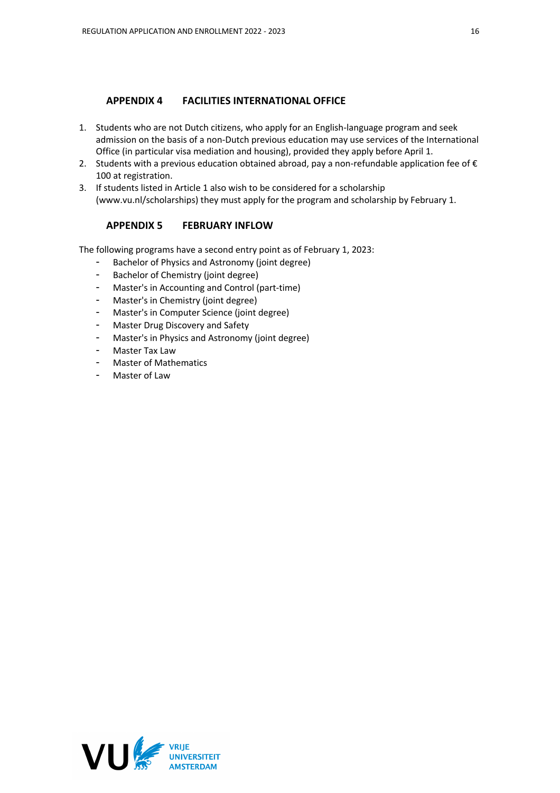#### **APPENDIX 4 FACILITIES INTERNATIONAL OFFICE**

- 1. Students who are not Dutch citizens, who apply for an English-language program and seek admission on the basis of a non-Dutch previous education may use services of the International Office (in particular visa mediation and housing), provided they apply before April 1.
- 2. Students with a previous education obtained abroad, pay a non-refundable application fee of  $\epsilon$ 100 at registration.
- 3. If students listed in Article 1 also wish to be considered for a scholarship (www.vu.nl/scholarships) they must apply for the program and scholarship by February 1.

## **APPENDIX 5 FEBRUARY INFLOW**

The following programs have a second entry point as of February 1, 2023:

- Bachelor of Physics and Astronomy (joint degree)
- Bachelor of Chemistry (joint degree)
- Master's in Accounting and Control (part-time)
- Master's in Chemistry (joint degree)
- Master's in Computer Science (joint degree)
- Master Drug Discovery and Safety
- Master's in Physics and Astronomy (joint degree)
- Master Tax Law
- Master of Mathematics
- Master of Law

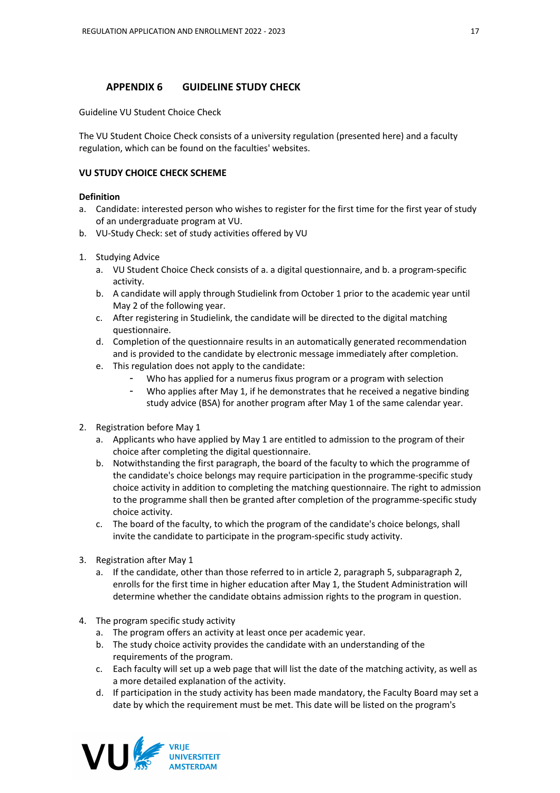## **APPENDIX 6 GUIDELINE STUDY CHECK**

Guideline VU Student Choice Check

The VU Student Choice Check consists of a university regulation (presented here) and a faculty regulation, which can be found on the faculties' websites.

## **VU STUDY CHOICE CHECK SCHEME**

#### **Definition**

- a. Candidate: interested person who wishes to register for the first time for the first year of study of an undergraduate program at VU.
- b. VU-Study Check: set of study activities offered by VU
- 1. Studying Advice
	- a. VU Student Choice Check consists of a. a digital questionnaire, and b. a program-specific activity.
	- b. A candidate will apply through Studielink from October 1 prior to the academic year until May 2 of the following year.
	- c. After registering in Studielink, the candidate will be directed to the digital matching questionnaire.
	- d. Completion of the questionnaire results in an automatically generated recommendation and is provided to the candidate by electronic message immediately after completion.
	- e. This regulation does not apply to the candidate:
		- Who has applied for a numerus fixus program or a program with selection
		- Who applies after May 1, if he demonstrates that he received a negative binding study advice (BSA) for another program after May 1 of the same calendar year.
- 2. Registration before May 1
	- a. Applicants who have applied by May 1 are entitled to admission to the program of their choice after completing the digital questionnaire.
	- b. Notwithstanding the first paragraph, the board of the faculty to which the programme of the candidate's choice belongs may require participation in the programme-specific study choice activity in addition to completing the matching questionnaire. The right to admission to the programme shall then be granted after completion of the programme-specific study choice activity.
	- c. The board of the faculty, to which the program of the candidate's choice belongs, shall invite the candidate to participate in the program-specific study activity.
- 3. Registration after May 1
	- a. If the candidate, other than those referred to in article 2, paragraph 5, subparagraph 2, enrolls for the first time in higher education after May 1, the Student Administration will determine whether the candidate obtains admission rights to the program in question.
- 4. The program specific study activity
	- a. The program offers an activity at least once per academic year.
	- b. The study choice activity provides the candidate with an understanding of the requirements of the program.
	- c. Each faculty will set up a web page that will list the date of the matching activity, as well as a more detailed explanation of the activity.
	- d. If participation in the study activity has been made mandatory, the Faculty Board may set a date by which the requirement must be met. This date will be listed on the program's